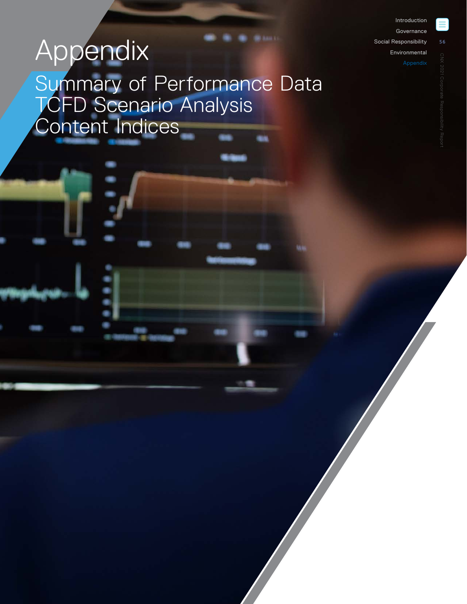[Introduction](#page--1-0) [Governance](#page--1-0) 

[Social Responsibility](#page--1-0)

[Environmental](#page--1-0)

# <span id="page-0-0"></span>Appendix Summary of Performance Data **TCFD Scenario Analysis** Content Indices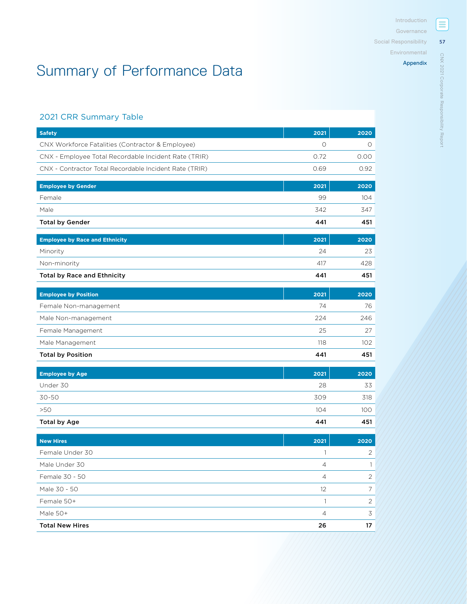[Environmental](#page--1-0)

### [Appendix](#page-0-0)

# Summary of Performance Data

# 2021 CRR Summary Table

| <b>Safety</b>                                          | 2021           | 2020           |
|--------------------------------------------------------|----------------|----------------|
| CNX Workforce Fatalities (Contractor & Employee)       | $\circ$        | $\circ$        |
| CNX - Employee Total Recordable Incident Rate (TRIR)   | 0.72           | 0.00           |
| CNX - Contractor Total Recordable Incident Rate (TRIR) | 0.69           | 0.92           |
| <b>Employee by Gender</b>                              | 2021           | 2020           |
| Female                                                 | 99             | 104            |
| Male                                                   | 342            | 347            |
| <b>Total by Gender</b>                                 | 441            | 451            |
| <b>Employee by Race and Ethnicity</b>                  | 2021           | 2020           |
| Minority                                               | 24             | 23             |
| Non-minority                                           | 417            | 428            |
| <b>Total by Race and Ethnicity</b>                     | 441            | 451            |
| <b>Employee by Position</b>                            | 2021           | 2020           |
| Female Non-management                                  | 74             | 76             |
| Male Non-management                                    | 224            | 246            |
| Female Management                                      | 25             | 27             |
| Male Management                                        | 118            | 102            |
| <b>Total by Position</b>                               | 441            | 451            |
| <b>Employee by Age</b>                                 | 2021           | 2020           |
| Under 30                                               | 28             | 33             |
| $30 - 50$                                              | 309            | 318            |
| $>50$                                                  | 104            | 100            |
| <b>Total by Age</b>                                    | 441            | 451            |
| <b>New Hires</b>                                       | 2021           | 2020           |
| Female Under 30                                        | 1              | $\overline{2}$ |
| Male Under 30                                          | $\overline{4}$ | 1              |
| Female 30 - 50                                         | $\overline{4}$ | $\overline{2}$ |
| Male 30 - 50                                           | 12             | 7              |
| Female 50+                                             | $\mathbf{1}$   | $\overline{2}$ |
| Male 50+                                               | $\overline{4}$ | 3              |
| <b>Total New Hires</b>                                 | 26             | 17             |

Ξ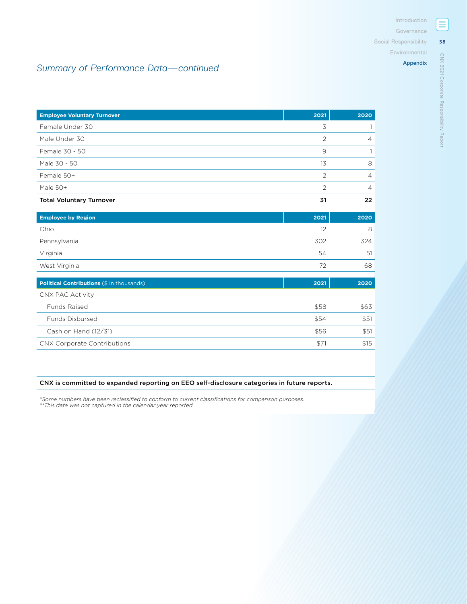[Environmental](#page--1-0)

# *Summary of Performance Data—continued*

| <b>Employee Voluntary Turnover</b>        | 2021 | 2020           |
|-------------------------------------------|------|----------------|
| Female Under 30                           | 3    |                |
| Male Under 30                             | 2    | $\overline{4}$ |
| Female 30 - 50                            | 9    |                |
| Male 30 - 50                              | 13   | 8              |
| Female 50+                                | 2    | $\overline{4}$ |
| Male 50+                                  | 2    | $\overline{4}$ |
| <b>Total Voluntary Turnover</b>           | 31   | 22             |
|                                           |      |                |
| <b>Employee by Region</b>                 | 2021 | 2020           |
| Ohio                                      | 12   | 8              |
| Pennsylvania                              | 302  | 324            |
| Virginia                                  | 54   | 51             |
| West Virginia                             | 72   | 68             |
|                                           |      |                |
| Political Contributions (\$ in thousands) | 2021 | 2020           |

| CNX PAC Activity                   |      |      |
|------------------------------------|------|------|
| <b>Funds Raised</b>                | \$58 | \$63 |
| <b>Funds Disbursed</b>             | \$54 | \$51 |
| Cash on Hand (12/31)               | \$56 | \$51 |
| <b>CNX Corporate Contributions</b> | \$7  | \$15 |

### CNX is committed to expanded reporting on EEO self-disclosure categories in future reports.

*\*Some numbers have been reclassified to conform to current classifications for comparison purposes. \*\*This data was not captured in the calendar year reported.*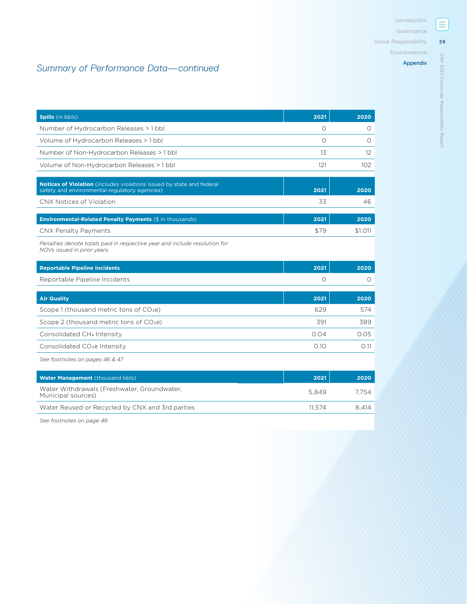[Environmental](#page--1-0)

### [Appendix](#page-0-0)

# *Summary of Performance Data—continued*

| <b>Spills</b> (in bbls)                                                                                                       | 2021     | 2020     |
|-------------------------------------------------------------------------------------------------------------------------------|----------|----------|
| Number of Hydrocarbon Releases > 1 bbl                                                                                        | $\Omega$ | $\circ$  |
| Volume of Hydrocarbon Releases > 1 bbl                                                                                        | $\Omega$ | $\Omega$ |
| Number of Non-Hydrocarbon Releases > 1 bbl                                                                                    | 13       | 12       |
| Volume of Non-Hydrocarbon Releases > 1 bbl                                                                                    | 121      | 102      |
| <b>Notices of Violation</b> (includes violations issued by state and federal<br>safety and environmental regulatory agencies) | 2021     | 2020     |
| CNX Notices of Violation                                                                                                      | 33       | 46       |
| Environmental-Related Penalty Payments (\$ in thousands)                                                                      | 2021     | 2020     |
| CNX Penalty Payments                                                                                                          | \$79     | \$1,011  |
| Penalties denote totals paid in respective year and include resolution for<br>NOVs issued in prior years.                     |          |          |
| <b>Reportable Pipeline Incidents</b>                                                                                          | 2021     | 2020     |
| Reportable Pipeline Incidents                                                                                                 | $\Omega$ | 0        |
| <b>Air Quality</b>                                                                                                            | 2021     | 2020     |
| Scope 1 (thousand metric tons of CO <sub>2</sub> e)                                                                           | 629      | 574      |
| Scope 2 (thousand metric tons of CO <sub>2</sub> e)                                                                           | 391      | 389      |
| Consolidated CH <sub>4</sub> Intensity                                                                                        | 0.04     | 0.05     |
| Consolidated CO <sub>2</sub> e Intensity                                                                                      | 0.10     | 0.11     |
| See footnotes on pages 46 & 47                                                                                                |          |          |
| Water Management (thousand bbls)                                                                                              | 2021     | 2020     |
| Water Withdrawals (Freshwater, Groundwater,<br>Municipal sources)                                                             | 5,849    | 7,754    |
| Water Reused or Recycled by CNX and 3rd parties                                                                               | 11,574   | 8.414    |
|                                                                                                                               |          |          |

*See footnotes on page 49*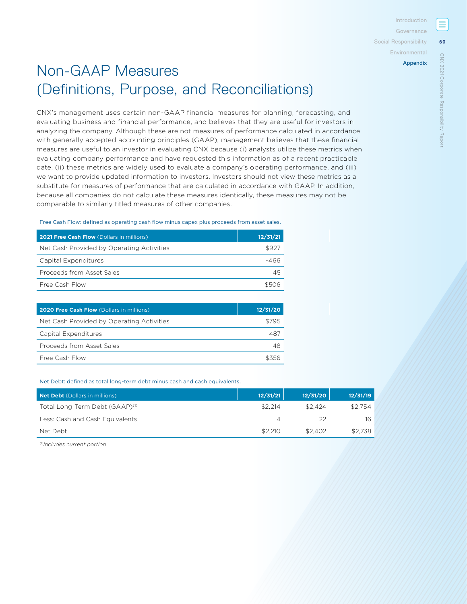[Social Responsibility](#page--1-0)

### [Environmental](#page--1-0)

# Non-GAAP Measures (Definitions, Purpose, and Reconciliations)

CNX's management uses certain non-GAAP financial measures for planning, forecasting, and evaluating business and financial performance, and believes that they are useful for investors in analyzing the company. Although these are not measures of performance calculated in accordance with generally accepted accounting principles (GAAP), management believes that these financial measures are useful to an investor in evaluating CNX because (i) analysts utilize these metrics when evaluating company performance and have requested this information as of a recent practicable date, (ii) these metrics are widely used to evaluate a company's operating performance, and (iii) we want to provide updated information to investors. Investors should not view these metrics as a substitute for measures of performance that are calculated in accordance with GAAP. In addition, because all companies do not calculate these measures identically, these measures may not be comparable to similarly titled measures of other companies.

Free Cash Flow: defined as operating cash flow minus capex plus proceeds from asset sales.

| 2021 Free Cash Flow (Dollars in millions) | 12/31/21 |
|-------------------------------------------|----------|
| Net Cash Provided by Operating Activities | \$927    |
| Capital Expenditures                      | -466     |
| Proceeds from Asset Sales                 | 45       |
| Free Cash Flow                            | よちいら     |

| 2020 Free Cash Flow (Dollars in millions) | 12/31/20 |
|-------------------------------------------|----------|
| Net Cash Provided by Operating Activities | \$795    |
| Capital Expenditures                      | -487     |
| Proceeds from Asset Sales                 | 48       |
| Free Cash Flow                            |          |

Net Debt: defined as total long-term debt minus cash and cash equivalents.

| Net Debt (Dollars in millions)             | 12/31/21 | 12/31/20 | 12/31/19 |
|--------------------------------------------|----------|----------|----------|
| Total Long-Term Debt (GAAP) <sup>(1)</sup> | \$2,214  | \$2.424  | \$2.754  |
| Less: Cash and Cash Equivalents            |          | つつ       | 16       |
| Net Debt                                   | \$2.210  | \$2.402  | \$2.738  |

*(1)Includes current portion*

**60**

**ONX** 2021

[CNX 2021 Corporate Responsibility Report](#page--1-0)

Corporate Responsibility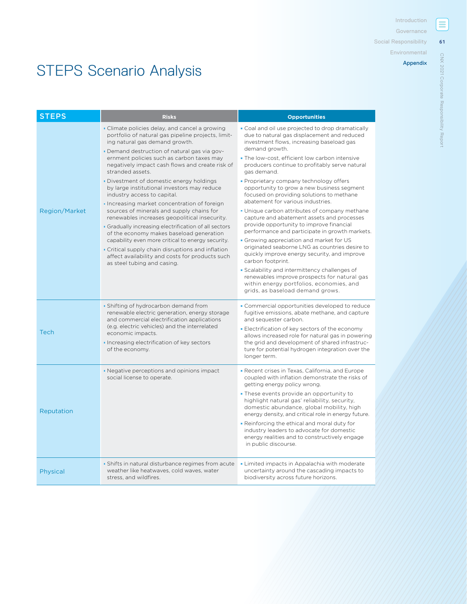$\equiv$ **Governance** 

**61**

[CNX 2021 Corporate Responsibility Report](#page--1-0)

CNX 2021 Corporate Responsibility Report

[Social Responsibility](#page--1-0)

[Environmental](#page--1-0)

### [Appendix](#page-0-0)

# STEPS Scenario Analysis

| <b>STEPS</b>         | <b>Risks</b>                                                                                                                                                                                                                                                                                                                                                                                                                                                                                                                                                                                                                                                                                                                                                                                                                                                                      | <b>Opportunities</b>                                                                                                                                                                                                                                                                                                                                                                                                                                                                                                                                                                                                                                                                                                                                                                                                          |
|----------------------|-----------------------------------------------------------------------------------------------------------------------------------------------------------------------------------------------------------------------------------------------------------------------------------------------------------------------------------------------------------------------------------------------------------------------------------------------------------------------------------------------------------------------------------------------------------------------------------------------------------------------------------------------------------------------------------------------------------------------------------------------------------------------------------------------------------------------------------------------------------------------------------|-------------------------------------------------------------------------------------------------------------------------------------------------------------------------------------------------------------------------------------------------------------------------------------------------------------------------------------------------------------------------------------------------------------------------------------------------------------------------------------------------------------------------------------------------------------------------------------------------------------------------------------------------------------------------------------------------------------------------------------------------------------------------------------------------------------------------------|
| <b>Region/Market</b> | • Climate policies delay, and cancel a growing<br>portfolio of natural gas pipeline projects, limit-<br>ing natural gas demand growth.<br>- Demand destruction of natural gas via gov-<br>ernment policies such as carbon taxes may<br>negatively impact cash flows and create risk of<br>stranded assets.<br>. Divestment of domestic energy holdings<br>by large institutional investors may reduce<br>industry access to capital.<br>Increasing market concentration of foreign<br>sources of minerals and supply chains for<br>renewables increases geopolitical insecurity.<br>• Gradually increasing electrification of all sectors<br>of the economy makes baseload generation<br>capability even more critical to energy security.<br>• Critical supply chain disruptions and inflation<br>affect availability and costs for products such<br>as steel tubing and casing. | . Coal and oil use projected to drop dramatically<br>due to natural gas displacement and reduced<br>investment flows, increasing baseload gas<br>demand growth.<br>. The low-cost, efficient low carbon intensive<br>producers continue to profitably serve natural<br>gas demand.<br>• Proprietary company technology offers<br>opportunity to grow a new business segment<br>focused on providing solutions to methane<br>abatement for various industries.<br>. Unique carbon attributes of company methane<br>capture and abatement assets and processes<br>provide opportunity to improve financial<br>performance and participate in growth markets.<br>• Growing appreciation and market for US<br>originated seaborne LNG as countries desire to<br>quickly improve energy security, and improve<br>carbon footprint. |
| <b>Tech</b>          | • Shifting of hydrocarbon demand from<br>renewable electric generation, energy storage<br>and commercial electrification applications<br>(e.g. electric vehicles) and the interrelated<br>economic impacts.<br>Increasing electrification of key sectors<br>of the economy.                                                                                                                                                                                                                                                                                                                                                                                                                                                                                                                                                                                                       | • Scalability and intermittency challenges of<br>renewables improve prospects for natural gas<br>within energy portfolios, economies, and<br>grids, as baseload demand grows.<br>• Commercial opportunities developed to reduce<br>fugitive emissions, abate methane, and capture<br>and sequester carbon.<br>Electrification of key sectors of the economy<br>allows increased role for natural gas in powering<br>the grid and development of shared infrastruc-<br>ture for potential hydrogen integration over the<br>longer term.                                                                                                                                                                                                                                                                                        |
| Reputation           | • Negative perceptions and opinions impact<br>social license to operate.                                                                                                                                                                                                                                                                                                                                                                                                                                                                                                                                                                                                                                                                                                                                                                                                          | <b>Recent crises in Texas, California, and Europe</b><br>coupled with inflation demonstrate the risks of<br>getting energy policy wrong.<br>. These events provide an opportunity to<br>highlight natural gas' reliability, security,<br>domestic abundance, global mobility, high<br>energy density, and critical role in energy future.<br>. Reinforcing the ethical and moral duty for<br>industry leaders to advocate for domestic<br>energy realities and to constructively engage<br>in public discourse.                                                                                                                                                                                                                                                                                                               |
| Physical             | • Shifts in natural disturbance regimes from acute<br>weather like heatwaves, cold waves, water<br>stress, and wildfires.                                                                                                                                                                                                                                                                                                                                                                                                                                                                                                                                                                                                                                                                                                                                                         | • Limited impacts in Appalachia with moderate<br>uncertainty around the cascading impacts to<br>biodiversity across future horizons.                                                                                                                                                                                                                                                                                                                                                                                                                                                                                                                                                                                                                                                                                          |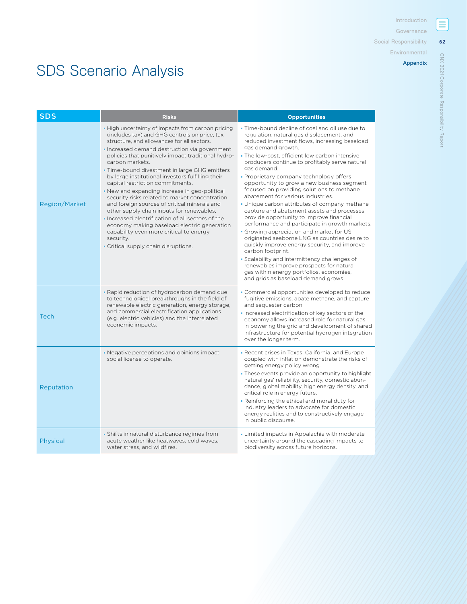**62**

[CNX 2021 Corporate Responsibility Report](#page--1-0)

CNX 2021 Corporate Responsibility Report

[Social Responsibility](#page--1-0)

[Environmental](#page--1-0)

### [Appendix](#page-0-0)

# SDS Scenario Analysis

| <b>SDS</b>           | <b>Risks</b>                                                                                                                                                                                                                                                                                                                                                                                                                                                                                                                                                                                                                                                                                                                                                                                                         | <b>Opportunities</b>                                                                                                                                                                                                                                                                                                                                                                                                                                                                                                                                                                                                                                                                                                                                                                                                                                                                                                                                                                                            |
|----------------------|----------------------------------------------------------------------------------------------------------------------------------------------------------------------------------------------------------------------------------------------------------------------------------------------------------------------------------------------------------------------------------------------------------------------------------------------------------------------------------------------------------------------------------------------------------------------------------------------------------------------------------------------------------------------------------------------------------------------------------------------------------------------------------------------------------------------|-----------------------------------------------------------------------------------------------------------------------------------------------------------------------------------------------------------------------------------------------------------------------------------------------------------------------------------------------------------------------------------------------------------------------------------------------------------------------------------------------------------------------------------------------------------------------------------------------------------------------------------------------------------------------------------------------------------------------------------------------------------------------------------------------------------------------------------------------------------------------------------------------------------------------------------------------------------------------------------------------------------------|
| <b>Region/Market</b> | . High uncertainty of impacts from carbon pricing<br>(includes tax) and GHG controls on price, tax<br>structure, and allowances for all sectors.<br>Increased demand destruction via government<br>policies that punitively impact traditional hydro-<br>carbon markets.<br>. Time-bound divestment in large GHG emitters<br>by large institutional investors fulfilling their<br>capital restriction commitments.<br>. New and expanding increase in geo-political<br>security risks related to market concentration<br>and foreign sources of critical minerals and<br>other supply chain inputs for renewables.<br>Increased electrification of all sectors of the<br>economy making baseload electric generation<br>capability even more critical to energy<br>security.<br>• Critical supply chain disruptions. | . Time-bound decline of coal and oil use due to<br>regulation, natural gas displacement, and<br>reduced investment flows, increasing baseload<br>gas demand growth.<br>. The low-cost, efficient low carbon intensive<br>producers continue to profitably serve natural<br>gas demand.<br>• Proprietary company technology offers<br>opportunity to grow a new business segment<br>focused on providing solutions to methane<br>abatement for various industries.<br>. Unique carbon attributes of company methane<br>capture and abatement assets and processes<br>provide opportunity to improve financial<br>performance and participate in growth markets.<br>Growing appreciation and market for US<br>originated seaborne LNG as countries desire to<br>quickly improve energy security, and improve<br>carbon footprint.<br>· Scalability and intermittency challenges of<br>renewables improve prospects for natural<br>gas within energy portfolios, economies,<br>and grids as baseload demand grows. |
| Tech                 | . Rapid reduction of hydrocarbon demand due<br>to technological breakthroughs in the field of<br>renewable electric generation, energy storage,<br>and commercial electrification applications<br>(e.g. electric vehicles) and the interrelated<br>economic impacts.                                                                                                                                                                                                                                                                                                                                                                                                                                                                                                                                                 | • Commercial opportunities developed to reduce<br>fugitive emissions, abate methane, and capture<br>and sequester carbon.<br>Increased electrification of key sectors of the<br>economy allows increased role for natural gas<br>in powering the grid and development of shared<br>infrastructure for potential hydrogen integration<br>over the longer term.                                                                                                                                                                                                                                                                                                                                                                                                                                                                                                                                                                                                                                                   |
| Reputation           | • Negative perceptions and opinions impact<br>social license to operate.                                                                                                                                                                                                                                                                                                                                                                                                                                                                                                                                                                                                                                                                                                                                             | <b>-</b> Recent crises in Texas, California, and Europe<br>coupled with inflation demonstrate the risks of<br>getting energy policy wrong.<br>. These events provide an opportunity to highlight<br>natural gas' reliability, security, domestic abun-<br>dance, global mobility, high energy density, and<br>critical role in energy future.<br>• Reinforcing the ethical and moral duty for<br>industry leaders to advocate for domestic<br>energy realities and to constructively engage<br>in public discourse.                                                                                                                                                                                                                                                                                                                                                                                                                                                                                             |
| Physical             | • Shifts in natural disturbance regimes from<br>acute weather like heatwaves, cold waves,<br>water stress, and wildfires.                                                                                                                                                                                                                                                                                                                                                                                                                                                                                                                                                                                                                                                                                            | • Limited impacts in Appalachia with moderate<br>uncertainty around the cascading impacts to<br>biodiversity across future horizons.                                                                                                                                                                                                                                                                                                                                                                                                                                                                                                                                                                                                                                                                                                                                                                                                                                                                            |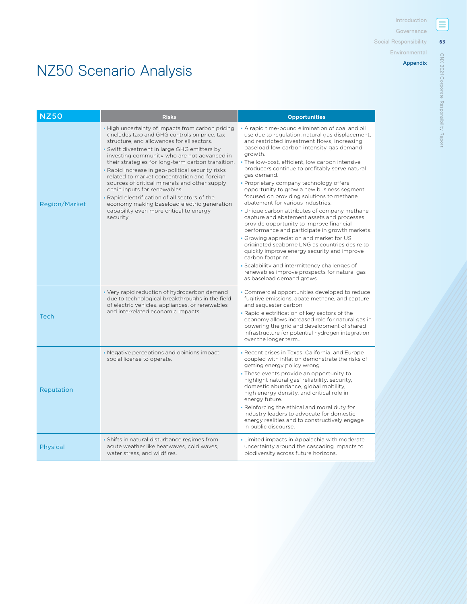**63**

[CNX 2021 Corporate Responsibility Report](#page--1-0)

CNX 2021 Corporate Responsibility Report

[Social Responsibility](#page--1-0)

[Environmental](#page--1-0)

### [Appendix](#page-0-0)

# NZ50 Scenario Analysis

| <b>NZ50</b>          | <b>Risks</b>                                                                                                                                                                                                                                                                                                                                                                                                                                                                                                                                                                                                                                    | <b>Opportunities</b>                                                                                                                                                                                                                                                                                                                                                                                                                                                                                                                                                                                                                                                                                                                                                                                                                                                                                                                                                                                 |
|----------------------|-------------------------------------------------------------------------------------------------------------------------------------------------------------------------------------------------------------------------------------------------------------------------------------------------------------------------------------------------------------------------------------------------------------------------------------------------------------------------------------------------------------------------------------------------------------------------------------------------------------------------------------------------|------------------------------------------------------------------------------------------------------------------------------------------------------------------------------------------------------------------------------------------------------------------------------------------------------------------------------------------------------------------------------------------------------------------------------------------------------------------------------------------------------------------------------------------------------------------------------------------------------------------------------------------------------------------------------------------------------------------------------------------------------------------------------------------------------------------------------------------------------------------------------------------------------------------------------------------------------------------------------------------------------|
| <b>Region/Market</b> | . High uncertainty of impacts from carbon pricing<br>(includes tax) and GHG controls on price, tax<br>structure, and allowances for all sectors.<br>· Swift divestment in large GHG emitters by<br>investing community who are not advanced in<br>their strategies for long-term carbon transition.<br>• Rapid increase in geo-political security risks<br>related to market concentration and foreign<br>sources of critical minerals and other supply<br>chain inputs for renewables.<br>. Rapid electrification of all sectors of the<br>economy making baseload electric generation<br>capability even more critical to energy<br>security. | A rapid time-bound elimination of coal and oil<br>use due to regulation, natural gas displacement,<br>and restricted investment flows, increasing<br>baseload low carbon intensity gas demand<br>growth.<br>. The low-cost, efficient, low carbon intensive<br>producers continue to profitably serve natural<br>gas demand.<br>• Proprietary company technology offers<br>opportunity to grow a new business segment<br>focused on providing solutions to methane<br>abatement for various industries.<br>. Unique carbon attributes of company methane<br>capture and abatement assets and processes<br>provide opportunity to improve financial<br>performance and participate in growth markets.<br>• Growing appreciation and market for US<br>originated seaborne LNG as countries desire to<br>quickly improve energy security and improve<br>carbon footprint.<br>· Scalability and intermittency challenges of<br>renewables improve prospects for natural gas<br>as baseload demand grows. |
| <b>Tech</b>          | • Very rapid reduction of hydrocarbon demand<br>due to technological breakthroughs in the field<br>of electric vehicles, appliances, or renewables<br>and interrelated economic impacts.                                                                                                                                                                                                                                                                                                                                                                                                                                                        | • Commercial opportunities developed to reduce<br>fugitive emissions, abate methane, and capture<br>and sequester carbon.<br>. Rapid electrification of key sectors of the<br>economy allows increased role for natural gas in<br>powering the grid and development of shared<br>infrastructure for potential hydrogen integration<br>over the longer term                                                                                                                                                                                                                                                                                                                                                                                                                                                                                                                                                                                                                                           |
| Reputation           | • Negative perceptions and opinions impact<br>social license to operate.                                                                                                                                                                                                                                                                                                                                                                                                                                                                                                                                                                        | <b>-</b> Recent crises in Texas, California, and Europe<br>coupled with inflation demonstrate the risks of<br>getting energy policy wrong.<br>. These events provide an opportunity to<br>highlight natural gas' reliability, security,<br>domestic abundance, global mobility,<br>high energy density, and critical role in<br>energy future.<br>. Reinforcing the ethical and moral duty for<br>industry leaders to advocate for domestic<br>energy realities and to constructively engage<br>in public discourse.                                                                                                                                                                                                                                                                                                                                                                                                                                                                                 |
| Physical             | • Shifts in natural disturbance regimes from<br>acute weather like heatwaves, cold waves,<br>water stress, and wildfires.                                                                                                                                                                                                                                                                                                                                                                                                                                                                                                                       | • Limited impacts in Appalachia with moderate<br>uncertainty around the cascading impacts to<br>biodiversity across future horizons.                                                                                                                                                                                                                                                                                                                                                                                                                                                                                                                                                                                                                                                                                                                                                                                                                                                                 |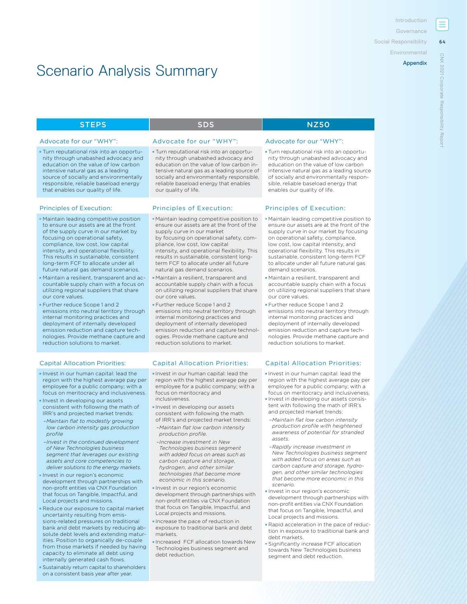[Introduction](#page--1-0)

[Governance](#page--1-0) 

**64**

**ONX** 2021  $\frac{1}{2}$ 

[CNX 2021 Corporate Responsibility Report](#page--1-0)

Repor

ate

[Social Responsibility](#page--1-0)

**[Environmental](#page--1-0)** 

# Scenario Analysis Summary

Turn reputational risk into an opportunity through unabashed advocacy and education on the value of low carbon intensive natural gas as a leading source of socially and environmentally responsible, reliable baseload energy that enables our quality of life.

- Maintain leading competitive position to ensure our assets are at the front of the supply curve in our market by focusing on operational safety, compliance, low cost, low capital intensity, and operational flexibility. This results in sustainable, consistent long-term FCF to allocate under all future natural gas demand scenarios.
- Maintain a resilient, transparent and accountable supply chain with a focus on utilizing regional suppliers that share our core values.
- Further reduce Scope 1 and 2 emissions into neutral territory through internal monitoring practices and deployment of internally developed emission reduction and capture technologies. Provide methane capture and reduction solutions to market.

- Invest in our human capital: lead the region with the highest average pay per employee for a public company; with a focus on meritocracy and inclusiveness.
- **Invest in developing our assets** consistent with following the math of IRR's and projected market trends:
- *–Maintain flat to modestly growing low carbon intensity gas production profile*
- *–Invest in the continued development of New Technologies business segment that leverages our existing assets and core competencies to deliver solutions to the energy markets.*
- Invest in our region's economic development through partnerships with non-profit entities via CNX Foundation that focus on Tangible, Impactful, and Local projects and missions.
- Reduce our exposure to capital market uncertainty resulting from emissions-related pressures on traditional bank and debt markets by reducing absolute debt levels and extending maturities. Position to organically de-couple from those markets if needed by having capacity to eliminate all debt using internally generated cash flows.
- Sustainably return capital to shareholders on a consistent basis year after year.

### STEPS NZ50

### Advocate for our "WHY": Advocate for our "WHY": Advocate for our "WHY":

Turn reputational risk into an opportunity through unabashed advocacy and education on the value of low carbon intensive natural gas as a leading source of socially and environmentally responsible, reliable baseload energy that enables our quality of life.

### Principles of Execution: Principles of Execution: Principles of Execution:

- Maintain leading competitive position to ensure our assets are at the front of the supply curve in our market
- by focusing on operational safety, compliance, low cost, low capital intensity, and operational flexibility. This results in sustainable, consistent longterm FCF to allocate under all future natural gas demand scenarios.
- Maintain a resilient, transparent and accountable supply chain with a focus on utilizing regional suppliers that share our core values.
- Further reduce Scope 1 and 2 emissions into neutral territory through internal monitoring practices and deployment of internally developed emission reduction and capture technologies. Provide methane capture and reduction solutions to market.

- Invest in our human capital: lead the region with the highest average pay per employee for a public company; with a focus on meritocracy and inclusiveness.
- **Invest in developing our assets** consistent with following the math of IRR's and projected market trends:
- *–Maintain flat low carbon intensity production profile.*
- *–Increase investment in New Technologies business segment with added focus on areas such as carbon capture and storage, hydrogen, and other similar technologies that become more economic in this scenario.*
- Invest in our region's economic development through partnerships with non-profit entities via CNX Foundation that focus on Tangible, Impactful, and Local projects and missions.
- **Increase the pace of reduction in** exposure to traditional bank and debt markets.
- Increased FCF allocation towards New Technologies business segment and debt reduction.

Turn reputational risk into an opportunity through unabashed advocacy and education on the value of low carbon intensive natural gas as a leading source of socially and environmentally responsible, reliable baseload energy that enables our quality of life.

- Maintain leading competitive position to ensure our assets are at the front of the supply curve in our market by focusing on operational safety, compliance, low cost, low capital intensity, and operational flexibility. This results in sustainable, consistent long-term FCF to allocate under all future natural gas demand scenarios.
- Maintain a resilient, transparent and accountable supply chain with a focus on utilizing regional suppliers that share our core values.
- Further reduce Scope 1 and 2 emissions into neutral territory through internal monitoring practices and deployment of internally developed emission reduction and capture technologies. Provide methane capture and reduction solutions to market.

### Capital Allocation Priorities: Capital Allocation Priorities: Capital Allocation Priorities:

- Invest in our human capital: lead the region with the highest average pay per employee for a public company; with a focus on meritocracy and inclusiveness.
- **Invest in developing our assets consis**tent with following the math of IRR's and projected market trends:
- *–Maintain flat low carbon intensity production profile with heightened awareness of potential for stranded assets.*
- *–Rapidly increase investment in New Technologies business segment with added focus on areas such as carbon capture and storage, hydrogen, and other similar technologies that become more economic in this scenario.*
- **Invest in our region's economic** development through partnerships with non-profit entities via CNX Foundation that focus on Tangible, Impactful, and Local projects and missions.
- Rapid acceleration in the pace of reduction in exposure to traditional bank and debt markets.
- Significantly increase FCF allocation towards New Technologies business segment and debt reduction.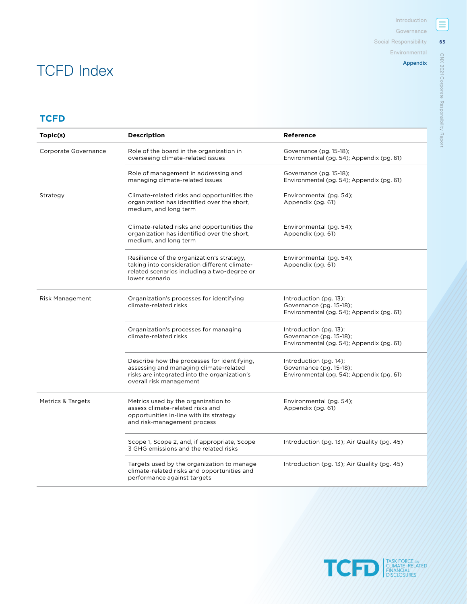[Social Responsibility](#page--1-0)

[Environmental](#page--1-0)

### [Appendix](#page-0-0)

# **TCFD**

TCFD Index

| Topic(s)                     | <b>Description</b>                                                                                                                                               | Reference                                                                                         |
|------------------------------|------------------------------------------------------------------------------------------------------------------------------------------------------------------|---------------------------------------------------------------------------------------------------|
| Corporate Governance         | Role of the board in the organization in<br>overseeing climate-related issues                                                                                    | Governance (pg. 15-18);<br>Environmental (pg. 54); Appendix (pg. 61)                              |
|                              | Role of management in addressing and<br>managing climate-related issues                                                                                          | Governance (pg. 15-18);<br>Environmental (pg. 54); Appendix (pg. 61)                              |
| Strategy                     | Climate-related risks and opportunities the<br>organization has identified over the short,<br>medium, and long term                                              | Environmental (pg. 54);<br>Appendix (pg. 61)                                                      |
|                              | Climate-related risks and opportunities the<br>organization has identified over the short,<br>medium, and long term                                              | Environmental (pg. 54);<br>Appendix (pg. 61)                                                      |
|                              | Resilience of the organization's strategy,<br>taking into consideration different climate-<br>related scenarios including a two-degree or<br>lower scenario      | Environmental (pg. 54);<br>Appendix (pg. 61)                                                      |
| Risk Management              | Organization's processes for identifying<br>climate-related risks                                                                                                | Introduction (pg. 13);<br>Governance (pg. 15-18);<br>Environmental (pg. 54); Appendix (pg. 61)    |
|                              | Organization's processes for managing<br>climate-related risks                                                                                                   | Introduction $(pg. 13)$ ;<br>Governance (pg. 15-18);<br>Environmental (pg. 54); Appendix (pg. 61) |
|                              | Describe how the processes for identifying,<br>assessing and managing climate-related<br>risks are integrated into the organization's<br>overall risk management | Introduction (pg. 14);<br>Governance (pg. 15-18);<br>Environmental (pg. 54); Appendix (pg. 61)    |
| <b>Metrics &amp; Targets</b> | Metrics used by the organization to<br>assess climate-related risks and<br>opportunities in-line with its strategy<br>and risk-management process                | Environmental (pg. 54);<br>Appendix (pg. 61)                                                      |
|                              | Scope 1, Scope 2, and, if appropriate, Scope<br>3 GHG emissions and the related risks                                                                            | Introduction (pg. 13); Air Quality (pg. 45)                                                       |
|                              | Targets used by the organization to manage<br>climate-related risks and opportunities and<br>performance against targets                                         | Introduction (pg. 13); Air Quality (pg. 45)                                                       |



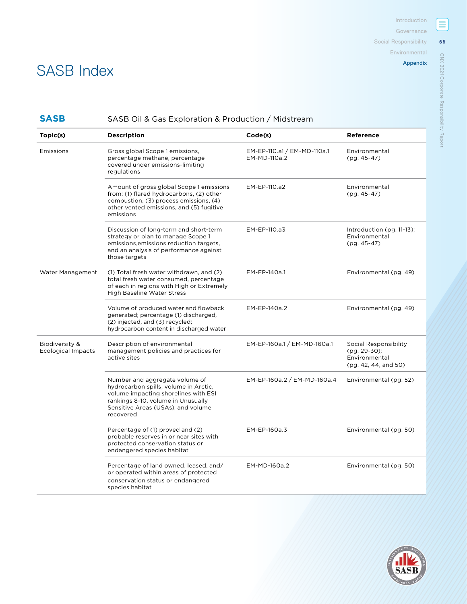[Environmental](#page--1-0)

[Appendix](#page-0-0)

# CNX 2021 Corporate Responsibility Report [CNX 2021 Corporate Responsibility Report](#page--1-0)

**66**

 $\equiv$ 

# SASB Index

# **SASB** SASB Oil & Gas Exploration & Production / Midstream

| Topic(s)                                    | <b>Description</b>                                                                                                                                                                                       | Code(s)                                     | Reference                                                                      |
|---------------------------------------------|----------------------------------------------------------------------------------------------------------------------------------------------------------------------------------------------------------|---------------------------------------------|--------------------------------------------------------------------------------|
| Emissions                                   | Gross global Scope 1 emissions,<br>percentage methane, percentage<br>covered under emissions-limiting<br>regulations                                                                                     | EM-EP-110.a1 / EM-MD-110a.1<br>EM-MD-110a.2 | Environmental<br>(pg. 45-47)                                                   |
|                                             | Amount of gross global Scope 1 emissions<br>from: (1) flared hydrocarbons, (2) other<br>combustion, (3) process emissions, (4)<br>other vented emissions, and (5) fugitive<br>emissions                  | EM-EP-110.a2                                | Environmental<br>$(pq. 45-47)$                                                 |
|                                             | Discussion of long-term and short-term<br>strategy or plan to manage Scope 1<br>emissions, emissions reduction targets,<br>and an analysis of performance against<br>those targets                       | EM-EP-110.a3                                | Introduction $(pg. 11-13)$ ;<br>Environmental<br>$(pg. 45-47)$                 |
| Water Management                            | (1) Total fresh water withdrawn, and (2)<br>total fresh water consumed, percentage<br>of each in regions with High or Extremely<br><b>High Baseline Water Stress</b>                                     | EM-EP-140a.1                                | Environmental (pg. 49)                                                         |
|                                             | Volume of produced water and flowback<br>generated; percentage (1) discharged,<br>(2) injected, and (3) recycled;<br>hydrocarbon content in discharged water                                             | EM-EP-140a.2                                | Environmental (pg. 49)                                                         |
| Biodiversity &<br><b>Ecological Impacts</b> | Description of environmental<br>management policies and practices for<br>active sites                                                                                                                    | EM-EP-160a.1 / EM-MD-160a.1                 | Social Responsibility<br>(pg. 29-30);<br>Environmental<br>(pg. 42, 44, and 50) |
|                                             | Number and aggregate volume of<br>hydrocarbon spills, volume in Arctic,<br>volume impacting shorelines with ESI<br>rankings 8-10, volume in Unusually<br>Sensitive Areas (USAs), and volume<br>recovered | EM-EP-160a.2 / EM-MD-160a.4                 | Environmental (pg. 52)                                                         |
|                                             | Percentage of (1) proved and (2)<br>probable reserves in or near sites with<br>protected conservation status or<br>endangered species habitat                                                            | EM-EP-160a.3                                | Environmental (pg. 50)                                                         |
|                                             | Percentage of land owned, leased, and/<br>or operated within areas of protected<br>conservation status or endangered<br>species habitat                                                                  | EM-MD-160a.2                                | Environmental (pg. 50)                                                         |

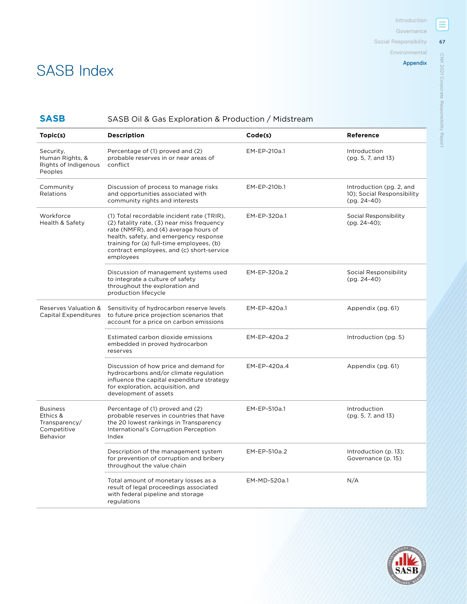[Social Responsibility](#page--1-0)

[Environmental](#page--1-0)

[Appendix](#page-0-0)

# SASB Index

# **SASB** SASB Oil & Gas Exploration & Production / Midstream

| Topic(s)                                                                | <b>Description</b>                                                                                                                                                                                                                                                                 | Code(s)      | Reference                                                               |
|-------------------------------------------------------------------------|------------------------------------------------------------------------------------------------------------------------------------------------------------------------------------------------------------------------------------------------------------------------------------|--------------|-------------------------------------------------------------------------|
| Security,<br>Human Rights, &<br>Rights of Indigenous<br>Peoples         | Percentage of (1) proved and (2)<br>probable reserves in or near areas of<br>conflict                                                                                                                                                                                              | EM-EP-210a.1 | Introduction<br>(pg. 5, 7, and 13)                                      |
| Community<br>Relations                                                  | Discussion of process to manage risks<br>and opportunities associated with<br>community rights and interests                                                                                                                                                                       | EM-EP-210b.1 | Introduction (pg. 2, and<br>10); Social Responsibility<br>$(pg. 24-40)$ |
| Workforce<br>Health & Safety                                            | (1) Total recordable incident rate (TRIR),<br>(2) fatality rate, (3) near miss frequency<br>rate (NMFR), and (4) average hours of<br>health, safety, and emergency response<br>training for (a) full-time employees, (b)<br>contract employees, and (c) short-service<br>employees | EM-EP-320a.1 | Social Responsibility<br>$(pq. 24-40)$ ;                                |
|                                                                         | Discussion of management systems used<br>to integrate a culture of safety<br>throughout the exploration and<br>production lifecycle                                                                                                                                                | EM-EP-320a.2 | Social Responsibility<br>$(pg. 24-40)$                                  |
| Reserves Valuation &<br>Capital Expenditures                            | Sensitivity of hydrocarbon reserve levels<br>to future price projection scenarios that<br>account for a price on carbon emissions                                                                                                                                                  | EM-EP-420a.1 | Appendix (pg. 61)                                                       |
|                                                                         | Estimated carbon dioxide emissions<br>embedded in proved hydrocarbon<br>reserves                                                                                                                                                                                                   | EM-EP-420a.2 | Introduction (pg. 5)                                                    |
|                                                                         | Discussion of how price and demand for<br>hydrocarbons and/or climate regulation<br>influence the capital expenditure strategy<br>for exploration, acquisition, and<br>development of assets                                                                                       | EM-EP-420a.4 | Appendix (pg. 61)                                                       |
| <b>Business</b><br>Ethics &<br>Transparency/<br>Competitive<br>Behavior | Percentage of (1) proved and (2)<br>probable reserves in countries that have<br>the 20 lowest rankings in Transparency<br>International's Corruption Perception<br>Index                                                                                                           | EM-EP-510a.1 | Introduction<br>(pg. 5, 7, and 13)                                      |
|                                                                         | Description of the management system<br>for prevention of corruption and bribery<br>throughout the value chain                                                                                                                                                                     | EM-EP-510a.2 | Introduction (p. 13);<br>Governance (p. 15)                             |
|                                                                         | Total amount of monetary losses as a<br>result of legal proceedings associated<br>with federal pipeline and storage<br>regulations                                                                                                                                                 | EM-MD-520a.1 | N/A                                                                     |



Ξ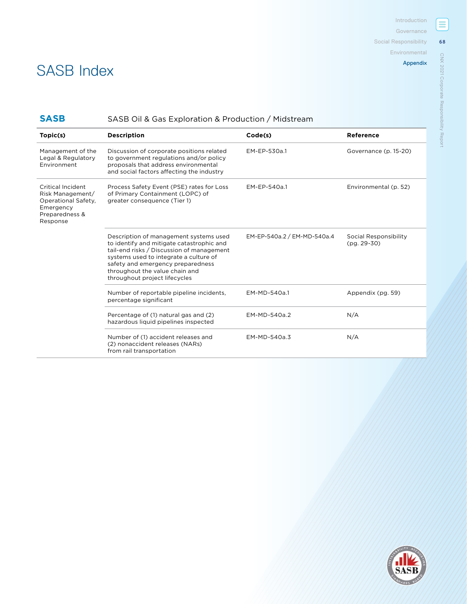[Environmental](#page--1-0)

**68**

 $\equiv$ 

[CNX 2021 Corporate Responsibility Report](#page--1-0)

CNX 2021 Corporate Responsibility Report

# SASB Index

# **SASB** SASB Oil & Gas Exploration & Production / Midstream

| Topic(s)                                                                                                | <b>Description</b>                                                                                                                                                                                                                                                                 | Code(s)                     | Reference                              |
|---------------------------------------------------------------------------------------------------------|------------------------------------------------------------------------------------------------------------------------------------------------------------------------------------------------------------------------------------------------------------------------------------|-----------------------------|----------------------------------------|
| Management of the<br>Legal & Regulatory<br>Environment                                                  | Discussion of corporate positions related<br>to government regulations and/or policy<br>proposals that address environmental<br>and social factors affecting the industry                                                                                                          | EM-EP-530a.1                | Governance (p. 15-20)                  |
| Critical Incident<br>Risk Management/<br>Operational Safety,<br>Emergency<br>Preparedness &<br>Response | Process Safety Event (PSE) rates for Loss<br>of Primary Containment (LOPC) of<br>greater consequence (Tier 1)                                                                                                                                                                      | EM-EP-540a.1                | Environmental (p. 52)                  |
|                                                                                                         | Description of management systems used<br>to identify and mitigate catastrophic and<br>tail-end risks / Discussion of management<br>systems used to integrate a culture of<br>safety and emergency preparedness<br>throughout the value chain and<br>throughout project lifecycles | EM-EP-540a.2 / EM-MD-540a.4 | Social Responsibility<br>$(pq. 29-30)$ |
|                                                                                                         | Number of reportable pipeline incidents,<br>percentage significant                                                                                                                                                                                                                 | EM-MD-540a.1                | Appendix (pg. 59)                      |
|                                                                                                         | Percentage of (1) natural gas and (2)<br>hazardous liquid pipelines inspected                                                                                                                                                                                                      | EM-MD-540a.2                | N/A                                    |
|                                                                                                         | Number of (1) accident releases and<br>(2) nonaccident releases (NARs)<br>from rail transportation                                                                                                                                                                                 | EM-MD-540a.3                | N/A                                    |

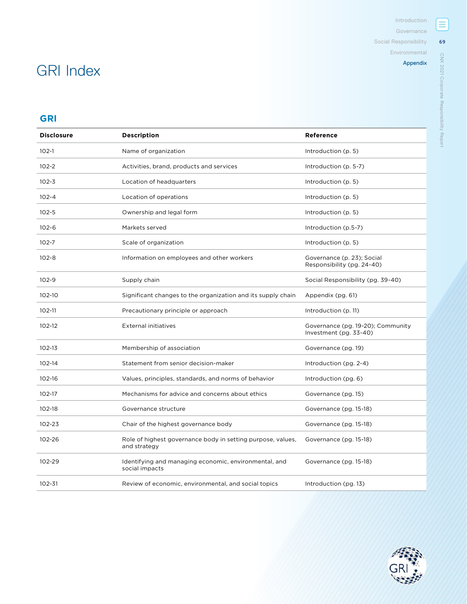[Social Responsibility](#page--1-0)

[Environmental](#page--1-0)

### [Appendix](#page-0-0)

# GRI Index

# **GRI**

| <b>Disclosure</b> | <b>Description</b>                                                          | Reference                                                   |
|-------------------|-----------------------------------------------------------------------------|-------------------------------------------------------------|
| $102 - 1$         | Name of organization                                                        | Introduction (p. 5)                                         |
| $102 - 2$         | Activities, brand, products and services                                    | Introduction (p. 5-7)                                       |
| $102 - 3$         | Location of headquarters                                                    | Introduction (p. 5)                                         |
| $102 - 4$         | Location of operations                                                      | Introduction (p. 5)                                         |
| $102 - 5$         | Ownership and legal form                                                    | Introduction (p. 5)                                         |
| $102 - 6$         | Markets served                                                              | Introduction (p.5-7)                                        |
| $102 - 7$         | Scale of organization                                                       | Introduction (p. 5)                                         |
| $102 - 8$         | Information on employees and other workers                                  | Governance (p. 23); Social<br>Responsibility (pg. 24-40)    |
| $102 - 9$         | Supply chain                                                                | Social Responsibility (pg. 39-40)                           |
| 102-10            | Significant changes to the organization and its supply chain                | Appendix (pg. 61)                                           |
| 102-11            | Precautionary principle or approach                                         | Introduction (p. 11)                                        |
| 102-12            | <b>External initiatives</b>                                                 | Governance (pg. 19-20); Community<br>Investment (pg. 33-40) |
| $102-13$          | Membership of association                                                   | Governance (pg. 19)                                         |
| $102 - 14$        | Statement from senior decision-maker                                        | Introduction (pg. 2-4)                                      |
| 102-16            | Values, principles, standards, and norms of behavior                        | Introduction (pg. 6)                                        |
| 102-17            | Mechanisms for advice and concerns about ethics                             | Governance (pg. 15)                                         |
| 102-18            | Governance structure                                                        | Governance (pg. 15-18)                                      |
| 102-23            | Chair of the highest governance body                                        | Governance (pg. 15-18)                                      |
| 102-26            | Role of highest governance body in setting purpose, values,<br>and strategy | Governance (pg. 15-18)                                      |
| 102-29            | Identifying and managing economic, environmental, and<br>social impacts     | Governance (pg. 15-18)                                      |
| 102-31            | Review of economic, environmental, and social topics                        | Introduction (pg. 13)                                       |



[CNX 2021 Corporate Responsibility Report](#page--1-0)

CNX 2021 Corporate Responsibility Report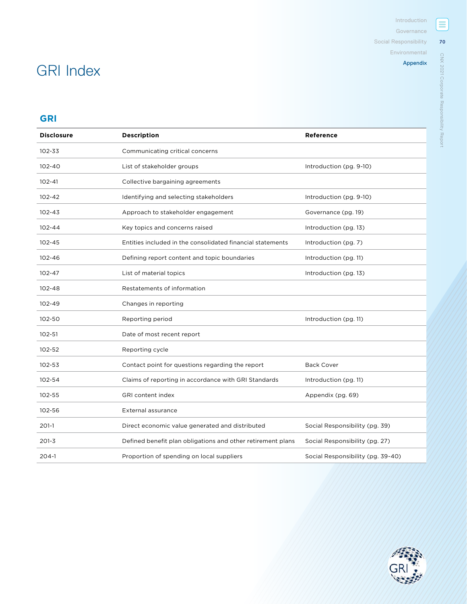[Environmental](#page--1-0)

# [Appendix](#page-0-0)

[CNX 2021 Corporate Responsibility Report](#page--1-0)

**70**

 $\equiv$ 

# GRI Index

# **GRI**

| <b>Disclosure</b> | <b>Description</b>                                          | <b>Reference</b>                  |
|-------------------|-------------------------------------------------------------|-----------------------------------|
| 102-33            | Communicating critical concerns                             |                                   |
| $102 - 40$        | List of stakeholder groups                                  | Introduction (pg. 9-10)           |
| $102 - 41$        | Collective bargaining agreements                            |                                   |
| $102 - 42$        | Identifying and selecting stakeholders                      | Introduction (pg. 9-10)           |
| $102 - 43$        | Approach to stakeholder engagement                          | Governance (pg. 19)               |
| $102 - 44$        | Key topics and concerns raised                              | Introduction (pg. 13)             |
| 102-45            | Entities included in the consolidated financial statements  | Introduction (pg. 7)              |
| 102-46            | Defining report content and topic boundaries                | Introduction (pg. 11)             |
| $102 - 47$        | List of material topics                                     | Introduction (pg. 13)             |
| 102-48            | Restatements of information                                 |                                   |
| 102-49            | Changes in reporting                                        |                                   |
| 102-50            | Reporting period                                            | Introduction (pg. 11)             |
| 102-51            | Date of most recent report                                  |                                   |
| 102-52            | Reporting cycle                                             |                                   |
| 102-53            | Contact point for questions regarding the report            | <b>Back Cover</b>                 |
| 102-54            | Claims of reporting in accordance with GRI Standards        | Introduction (pg. 11)             |
| 102-55            | <b>GRI</b> content index                                    | Appendix (pg. 69)                 |
| 102-56            | <b>External assurance</b>                                   |                                   |
| $201-1$           | Direct economic value generated and distributed             | Social Responsibility (pg. 39)    |
| $201 - 3$         | Defined benefit plan obligations and other retirement plans | Social Responsibility (pg. 27)    |
| $204-1$           | Proportion of spending on local suppliers                   | Social Responsibility (pg. 39-40) |

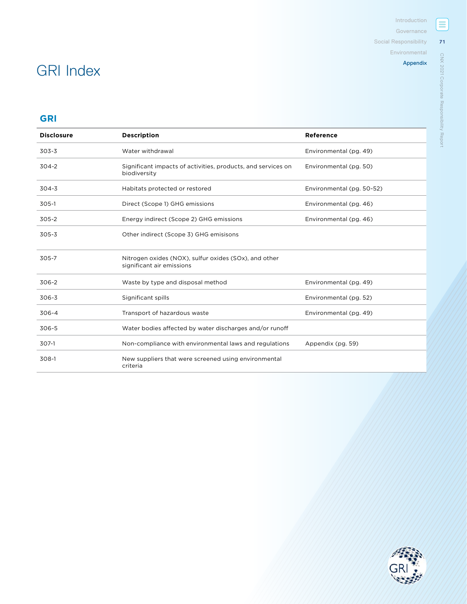[Social Responsibility](#page--1-0)

[Environmental](#page--1-0)

[Appendix](#page-0-0)

# GRI Index

# **GRI**

| <b>Disclosure</b> | <b>Description</b>                                                                 | Reference                 |
|-------------------|------------------------------------------------------------------------------------|---------------------------|
| 303-3             | Water withdrawal                                                                   | Environmental (pg. 49)    |
| $304 - 2$         | Significant impacts of activities, products, and services on<br>biodiversity       | Environmental (pg. 50)    |
| $304 - 3$         | Habitats protected or restored                                                     | Environmental (pg. 50-52) |
| $305-1$           | Direct (Scope 1) GHG emissions                                                     | Environmental (pg. 46)    |
| 305-2             | Energy indirect (Scope 2) GHG emissions                                            | Environmental (pg. 46)    |
| $305 - 3$         | Other indirect (Scope 3) GHG emisisons                                             |                           |
| 305-7             | Nitrogen oxides (NOX), sulfur oxides (SOx), and other<br>significant air emissions |                           |
| 306-2             | Waste by type and disposal method                                                  | Environmental (pg. 49)    |
| 306-3             | Significant spills                                                                 | Environmental (pg. 52)    |
| $306 - 4$         | Transport of hazardous waste                                                       | Environmental (pg. 49)    |
| 306-5             | Water bodies affected by water discharges and/or runoff                            |                           |
| $307-1$           | Non-compliance with environmental laws and regulations                             | Appendix (pg. 59)         |
| 308-1             | New suppliers that were screened using environmental<br>criteria                   |                           |